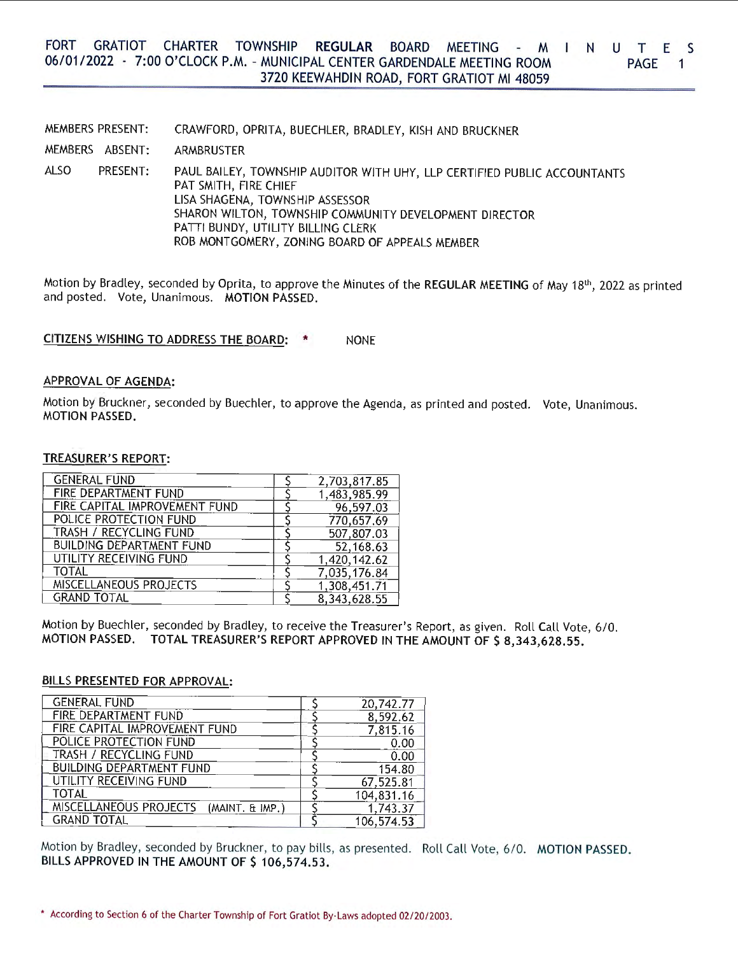#### FORT GRATIOT CHARTER TOWNSHIP **REGULAR** BOARD MEETING - M T N U T E S 06/01/2022 · 7:00 O'CLOCK P.M. - MUNICIPAL CENTER GARDENDALE MEETING ROOM PAGE<sub>1</sub> 3720 KEEWAHDIN ROAD, FORT GRATIOT Ml 48059

MEMBERS PRESENT: MEMBERS ABSENT: ALSO PRESENT: CRAWFORD, OPRITA, BUECHLER, BRADLEY, KISH AND BRUCKNER ARMBRUSTER PAUL BAILEY, TOWNSHIP AUDITOR WITH UHY, LLP CERTIFIED PUBLIC ACCOUNTANTS PAT SMITH, FIRE CHIEF LISA SHAGENA, TOWNSHIP ASSESSOR SHARON WILTON, TOWNSHIP COMMUNITY DEVELOPMENT DIRECTOR PATTI BUNDY, UTILITY BILLING CLERK ROB MONTGOMERY, ZONING BOARD OF APPEALS MEMBER

Motion by Bradley, seconded by Oprita, to approve the Minutes of the REGULAR MEETING of May 18<sup>th</sup>, 2022 as printed and posted. Vote, Unanimous. **MOTION PASSED.** 

# **CITIZENS WISHING TO ADDRESS THE BOARD:** \* NONE

## **APPROVAL OF AGENDA:**

Motion by Bruckner, seconded by Buechler, to approve the Agenda, as printed and posted. Vote, Unanimous. **MOTION PASSED.** 

## **TREASURER'S REPORT:**

| <b>GENERAL FUND</b>             | 2,703,817.85 |
|---------------------------------|--------------|
| FIRE DEPARTMENT FUND            | 1,483,985.99 |
| FIRE CAPITAL IMPROVEMENT FUND   | 96,597.03    |
| POLICE PROTECTION FUND          | 770,657.69   |
| <b>TRASH / RECYCLING FUND</b>   | 507,807.03   |
| <b>BUILDING DEPARTMENT FUND</b> | 52,168.63    |
| UTILITY RECEIVING FUND          | 1,420,142.62 |
| <b>TOTAL</b>                    | 7,035,176.84 |
| MISCELLANEOUS PROJECTS          | 1,308,451.71 |
| <b>GRAND TOTAL</b>              | 8,343,628.55 |

Motion by Buechler, seconded by Bradley, to receive the Treasurer's Report, as given. Roll Call Vote, 6/0. **MOTION PASSED. TOTAL TREASURER'S REPORT APPROVED IN THE AMOUNT OF\$ 8,343,628.55.** 

### **BILLS PRESENTED FOR APPROVAL:**

| <b>GENERAL FUND</b>                       | 20,742.77  |
|-------------------------------------------|------------|
| FIRE DEPARTMENT FUND                      | 8,592.62   |
| FIRE CAPITAL IMPROVEMENT FUND             | 7,815.16   |
| POLICE PROTECTION FUND                    | 0.00       |
| TRASH / RECYCLING FUND                    | 0.00       |
| <b>BUILDING DEPARTMENT FUND</b>           | 154.80     |
| UTILITY RECEIVING FUND                    | 67,525.81  |
| TOTAL                                     | 104,831.16 |
| MISCELLANEOUS PROJECTS<br>(MAINT. & IMP.) | 1,743.37   |
| <b>GRAND TOTAL</b>                        | 106,574.53 |

Motion by Bradley, seconded by Bruckner, to pay bills, as presented. Roll Call Vote, 6/0. **MOTION PASSED.**  BILLS APPROVED IN THE AMOUNT OF \$ 106,574.53.

<sup>•</sup> According to Section 6 of the Charter Township of Fort Gratiot By-Laws adopted 02/20/2003.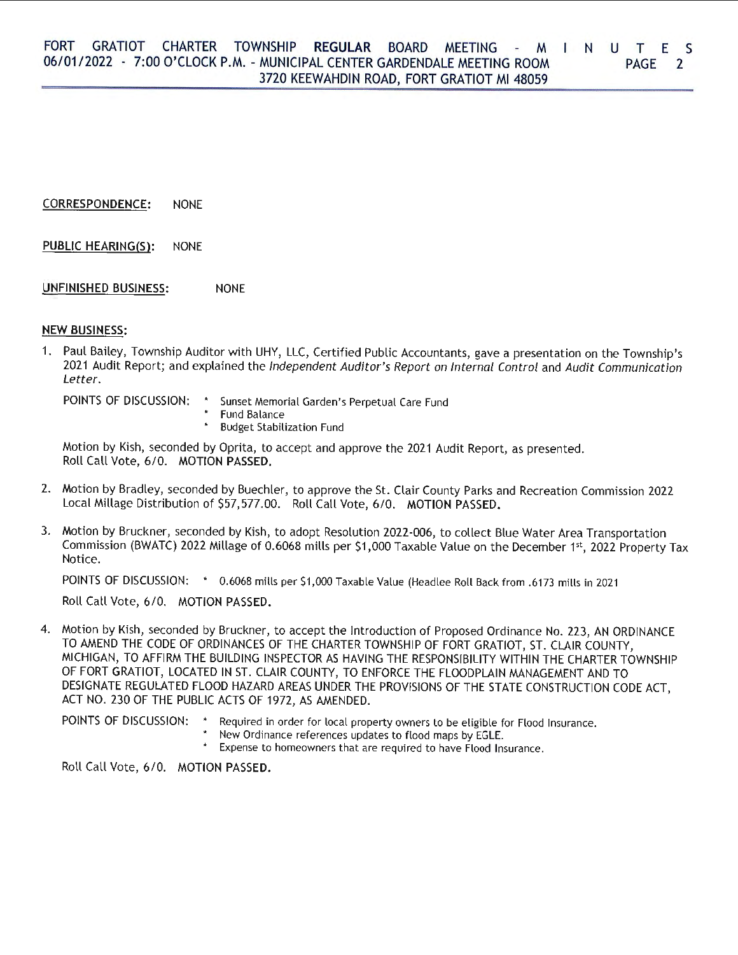# **CORRESPONDENCE:** NONE

**PUBLIC HEARING(S):** NONE

# **UNFINISHED BUSINESS:** NONE

# **NEW BUSINESS:**

1. Paul Bailey, Township Auditor with UHY, LLC, Certified Public Accountants, gave a presentation on the Township's 2021 Audit Report; and explained the Independent Auditor's Report on Internal Control and Audit Communication Letter.

POINTS OF DISCUSSION: \* Sunset Memorial Garden's Perpetual Care Fund • Fund Balance • Budget Stabilization Fund

Motion by Kish, seconded by Oprita, to accept and approve the 2021 Audit Report, as presented. Roll Call Vote, 6/0. **MOTION PASSED.** 

- 2. Motion by Bradley, seconded by Buechler, to approve the St. Clair County Parks and Recreation Commission 2022 Local Millage Distribution of \$57,577.00. Roll Call Vote, 6/0. **MOTION PASSED.**
- 3. Motion by Bruckner, seconded by Kish, to adopt Resolution 2022-006, to collect Blue Water Area Transportation Commission (BWATC) 2022 Millage of 0.6068 mills per \$1,000 Taxable Value on the December 1st, 2022 Property Tax Notice.

POINTS OF DISCUSSION: • 0.6068 mills per \$1,000 Taxable Value (Headlee Roll Back from .6173 mills in 2021

Roll Call Vote, 6/0. **MOTION PASSED.** 

4. Motion by Kish, seconded by Bruckner, to accept the Introduction of Proposed Ordinance No. 223, AN ORDINANCE TO AMEND THE CODE OF ORDINANCES OF THE CHARTER TOWNSHIP OF FORT GRATIOT, ST. CLAIR COUNTY, MICHIGAN, TO AFFIRM THE BUILDING INSPECTOR AS HAVING THE RESPONSIBILITY WITHIN THE CHARTER TOWNSHIP OF FORT GRATIOT, LOCATED IN ST. CLAIR COUNTY, TO ENFORCE THE FLOODPLAIN MANAGEMENT AND TO DESIGNATE REGULATED FLOOD HAZARD AREAS UNDER THE PROVISIONS OF THE STATE CONSTRUCTION CODE ACT, ACT NO. 230 OF THE PUBLIC ACTS OF 1972, AS AMENDED.

POINTS OF DISCUSSION: \* Required in order for local property owners to be eligible for Flood Insurance. • New Ordinance references updates to flood maps by EGLE.

• Expense to homeowners that are required to have Flood Insurance.

Roll Call Vote, 6/0. **MOTION PASSED.**